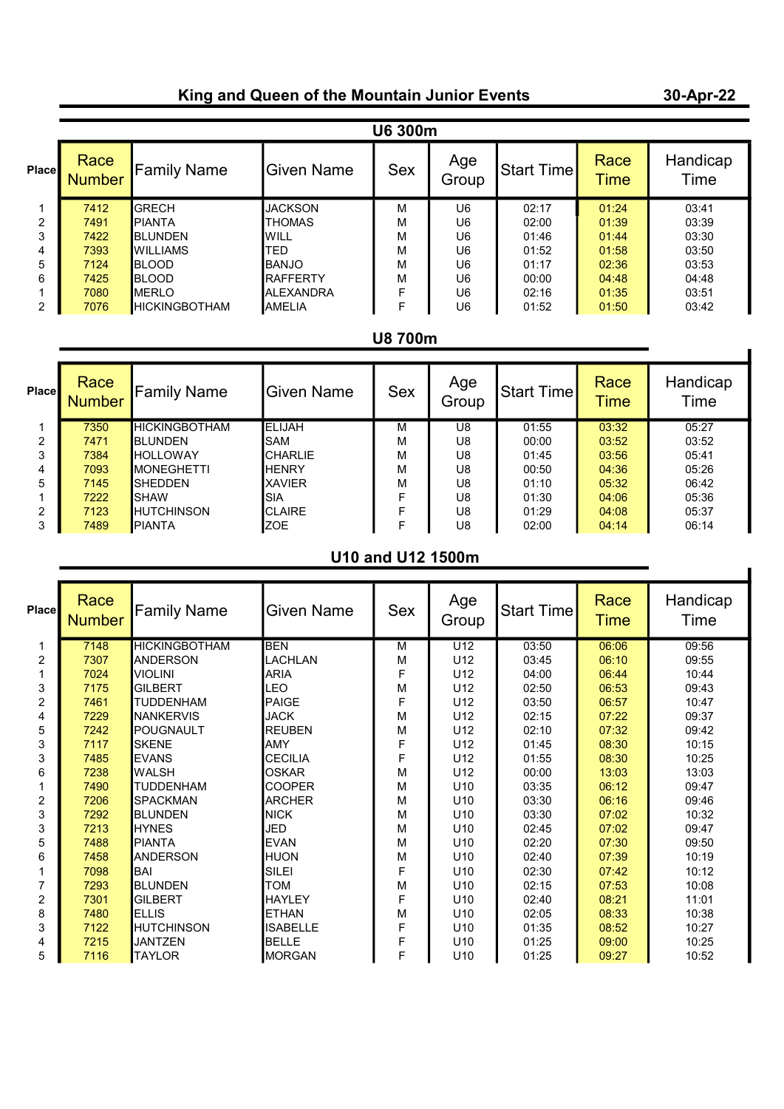# King and Queen of the Mountain Junior Events

#### 30-Apr-22

| <b>U6 300m</b> |                       |                        |                  |            |              |            |                     |                  |  |
|----------------|-----------------------|------------------------|------------------|------------|--------------|------------|---------------------|------------------|--|
| Place          | Race<br><b>Number</b> | <b>Family Name</b>     | Given Name       | <b>Sex</b> | Age<br>Group | Start Time | Race<br><b>Time</b> | Handicap<br>Time |  |
|                | 7412                  | <b>GRECH</b>           | <b>JACKSON</b>   | M          | U6           | 02:17      | 01:24               | 03:41            |  |
| 2              | 7491                  | <b>IPIANTA</b>         | <b>THOMAS</b>    | М          | U6           | 02:00      | 01:39               | 03:39            |  |
| 3              | 7422                  | <b>BLUNDEN</b>         | WILL             | M          | U6           | 01:46      | 01:44               | 03:30            |  |
| 4              | 7393                  | <b>WILLIAMS</b>        | TED              | M          | U6           | 01:52      | 01:58               | 03:50            |  |
| 5              | 7124                  | <b>BLOOD</b>           | <b>BANJO</b>     | M          | U6           | 01:17      | 02:36               | 03:53            |  |
| 6              | 7425                  | <b>BLOOD</b>           | <b>RAFFERTY</b>  | M          | U6           | 00:00      | 04:48               | 04:48            |  |
|                | 7080                  | <b>IMERLO</b>          | <b>ALEXANDRA</b> | F          | U6           | 02:16      | 01:35               | 03:51            |  |
| $\overline{2}$ | 7076                  | <b>I</b> HICKINGBOTHAM | <b>AMELIA</b>    | E          | U6           | 01:52      | 01:50               | 03:42            |  |

# U8 700m

| <b>Place</b> | Race<br><b>Number</b> | <b>Family Name</b>   | <b>Given Name</b> | <b>Sex</b> | Age<br>Group | Start Time | Race<br><b>Time</b> | Handicap<br>Time |
|--------------|-----------------------|----------------------|-------------------|------------|--------------|------------|---------------------|------------------|
|              | 7350                  | <b>HICKINGBOTHAM</b> | <b>IELIJAH</b>    | М          | U8           | 01:55      | 03:32               | 05:27            |
| 2            | 7471                  | <b>BLUNDEN</b>       | SAM               | м          | U8           | 00:00      | 03:52               | 03:52            |
| 3            | 7384                  | <b>HOLLOWAY</b>      | <b>CHARLIE</b>    | M          | U8           | 01:45      | 03:56               | 05:41            |
| 4            | 7093                  | <b>IMONEGHETTI</b>   | <b>HENRY</b>      | м          | U8           | 00:50      | 04:36               | 05:26            |
| 5            | 7145                  | <b>SHEDDEN</b>       | <b>XAVIER</b>     | M          | U8           | 01:10      | 05:32               | 06:42            |
|              | 7222                  | <b>ISHAW</b>         | SIA               | F          | U8           | 01:30      | 04:06               | 05:36            |
| 2            | 7123                  | <b>HUTCHINSON</b>    | <b>CLAIRE</b>     | F          | U8           | 01:29      | 04:08               | 05:37            |
|              | 7489                  | <b>PIANTA</b>        | <b>ZOE</b>        | F          | U8           | 02:00      | 04:14               | 06:14            |

# U10 and U12 1500m

| <b>Place</b> | Race<br><b>Number</b> | <b>Family Name</b>   | <b>Given Name</b> | Sex         | Age<br>Group    | Start Time | Race<br><b>Time</b> | Handicap<br>Time |  |
|--------------|-----------------------|----------------------|-------------------|-------------|-----------------|------------|---------------------|------------------|--|
| 1            | 7148                  | <b>HICKINGBOTHAM</b> | <b>BEN</b>        | M           | U12             | 03:50      | 06:06               | 09:56            |  |
| 2            | 7307                  | <b>ANDERSON</b>      | LACHLAN           | М           | U12             | 03:45      | 06:10               | 09:55            |  |
|              | 7024                  | <b>VIOLINI</b>       | <b>ARIA</b>       | F           | U12             | 04:00      | 06:44               | 10:44            |  |
| 3            | 7175                  | <b>GILBERT</b>       | LEO               | M           | U12             | 02:50      | 06:53               | 09:43            |  |
| 2            | 7461                  | <b>TUDDENHAM</b>     | PAIGE             | F           | U12             | 03:50      | 06:57               | 10:47            |  |
| 4            | 7229                  | <b>NANKERVIS</b>     | <b>JACK</b>       | M           | U12             | 02:15      | 07:22               | 09:37            |  |
| 5            | 7242                  | POUGNAULT            | <b>REUBEN</b>     | M           | U12             | 02:10      | 07:32               | 09:42            |  |
| 3            | 7117                  | <b>SKENE</b>         | <b>AMY</b>        | F           | U12             | 01:45      | 08:30               | 10:15            |  |
| 3            | 7485                  | <b>EVANS</b>         | <b>CECILIA</b>    | F           | U12             | 01:55      | 08:30               | 10:25            |  |
| 6            | 7238                  | <b>WALSH</b>         | <b>OSKAR</b>      | M           | U <sub>12</sub> | 00:00      | 13:03               | 13:03            |  |
|              | 7490                  | <b>TUDDENHAM</b>     | <b>COOPER</b>     | M           | U10             | 03:35      | 06:12               | 09:47            |  |
| 2            | 7206                  | <b>SPACKMAN</b>      | <b>ARCHER</b>     | M           | U <sub>10</sub> | 03:30      | 06:16               | 09:46            |  |
| 3            | 7292                  | <b>BLUNDEN</b>       | <b>NICK</b>       | M           | U <sub>10</sub> | 03:30      | 07:02               | 10:32            |  |
| 3            | 7213                  | <b>HYNES</b>         | JED               | M           | U <sub>10</sub> | 02:45      | 07:02               | 09:47            |  |
| 5            | 7488                  | PIANTA               | <b>EVAN</b>       | M           | U <sub>10</sub> | 02:20      | 07:30               | 09:50            |  |
| 6            | 7458                  | <b>ANDERSON</b>      | <b>HUON</b>       | M           | U <sub>10</sub> | 02:40      | 07:39               | 10:19            |  |
|              | 7098                  | BAI                  | SILEI             | F           | U <sub>10</sub> | 02:30      | 07:42               | 10:12            |  |
|              | 7293                  | <b>BLUNDEN</b>       | <b>TOM</b>        | M           | U <sub>10</sub> | 02:15      | 07:53               | 10:08            |  |
| 2            | 7301                  | <b>GILBERT</b>       | <b>HAYLEY</b>     | F           | U10             | 02:40      | 08:21               | 11:01            |  |
| 8            | 7480                  | <b>ELLIS</b>         | IETHAN            | M           | U <sub>10</sub> | 02:05      | 08:33               | 10:38            |  |
| 3            | 7122                  | <b>HUTCHINSON</b>    | <b>ISABELLE</b>   | $\mathsf F$ | U <sub>10</sub> | 01:35      | 08:52               | 10:27            |  |
| 4            | 7215                  | <b>JANTZEN</b>       | <b>BELLE</b>      | F           | U <sub>10</sub> | 01:25      | 09:00               | 10:25            |  |
| 5            | 7116                  | <b>TAYLOR</b>        | <b>MORGAN</b>     | F           | U <sub>10</sub> | 01:25      | 09:27               | 10:52            |  |